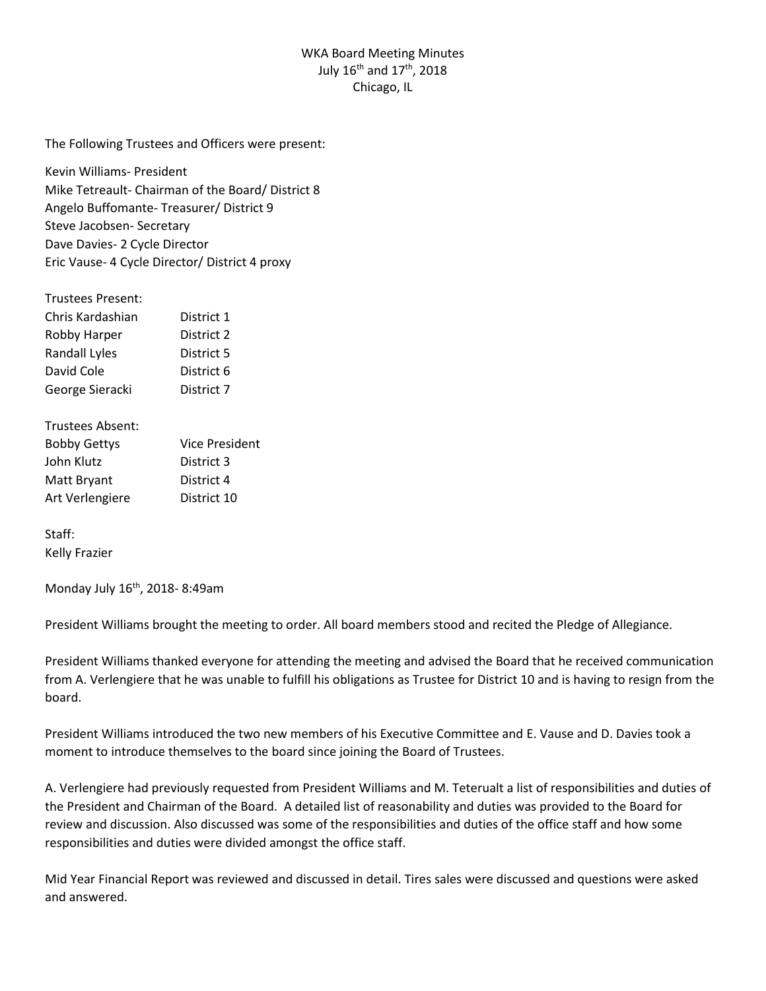## WKA Board Meeting Minutes July 16<sup>th</sup> and 17<sup>th</sup>, 2018 Chicago, IL

The Following Trustees and Officers were present:

Kevin Williams- President Mike Tetreault- Chairman of the Board/ District 8 Angelo Buffomante- Treasurer/ District 9 Steve Jacobsen- Secretary Dave Davies- 2 Cycle Director Eric Vause- 4 Cycle Director/ District 4 proxy

## Trustees Present:

| Chris Kardashian | District 1 |
|------------------|------------|
| Robby Harper     | District 2 |
| Randall Lyles    | District 5 |
| David Cole       | District 6 |
| George Sieracki  | District 7 |

Trustees Absent:

| <b>Bobby Gettys</b> | Vice President |
|---------------------|----------------|
| John Klutz          | District 3     |
| Matt Bryant         | District 4     |
| Art Verlengiere     | District 10    |

Staff: Kelly Frazier

Monday July 16th, 2018- 8:49am

President Williams brought the meeting to order. All board members stood and recited the Pledge of Allegiance.

President Williams thanked everyone for attending the meeting and advised the Board that he received communication from A. Verlengiere that he was unable to fulfill his obligations as Trustee for District 10 and is having to resign from the board.

President Williams introduced the two new members of his Executive Committee and E. Vause and D. Davies took a moment to introduce themselves to the board since joining the Board of Trustees.

A. Verlengiere had previously requested from President Williams and M. Teterualt a list of responsibilities and duties of the President and Chairman of the Board. A detailed list of reasonability and duties was provided to the Board for review and discussion. Also discussed was some of the responsibilities and duties of the office staff and how some responsibilities and duties were divided amongst the office staff.

Mid Year Financial Report was reviewed and discussed in detail. Tires sales were discussed and questions were asked and answered.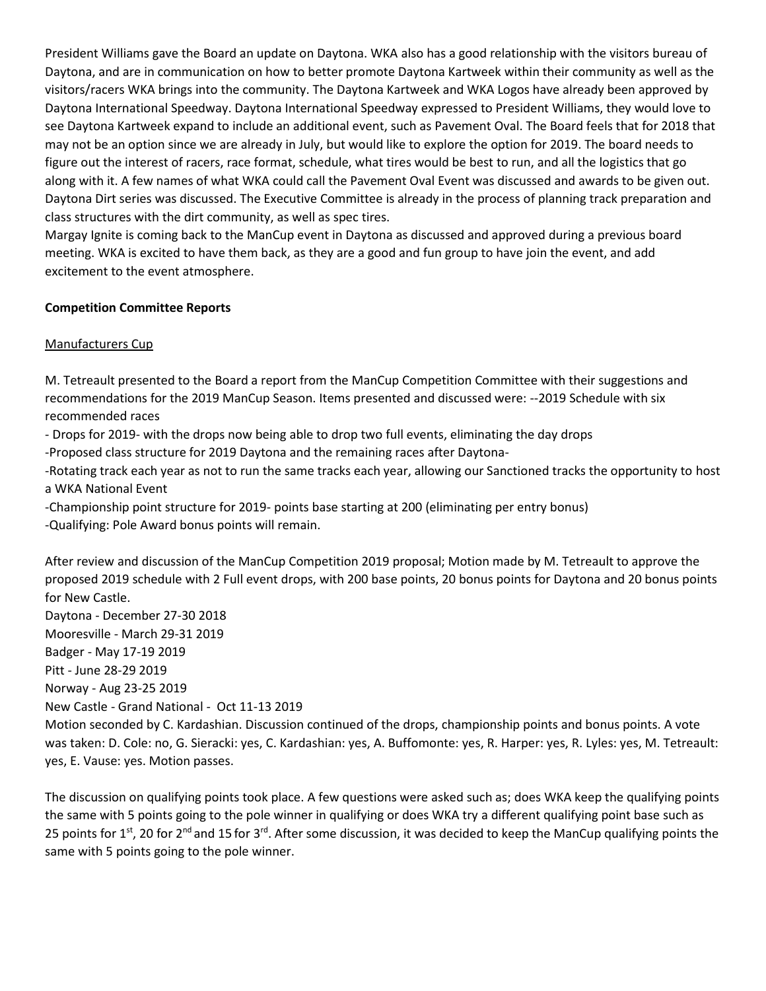President Williams gave the Board an update on Daytona. WKA also has a good relationship with the visitors bureau of Daytona, and are in communication on how to better promote Daytona Kartweek within their community as well as the visitors/racers WKA brings into the community. The Daytona Kartweek and WKA Logos have already been approved by Daytona International Speedway. Daytona International Speedway expressed to President Williams, they would love to see Daytona Kartweek expand to include an additional event, such as Pavement Oval. The Board feels that for 2018 that may not be an option since we are already in July, but would like to explore the option for 2019. The board needs to figure out the interest of racers, race format, schedule, what tires would be best to run, and all the logistics that go along with it. A few names of what WKA could call the Pavement Oval Event was discussed and awards to be given out. Daytona Dirt series was discussed. The Executive Committee is already in the process of planning track preparation and class structures with the dirt community, as well as spec tires.

Margay Ignite is coming back to the ManCup event in Daytona as discussed and approved during a previous board meeting. WKA is excited to have them back, as they are a good and fun group to have join the event, and add excitement to the event atmosphere.

## **Competition Committee Reports**

## Manufacturers Cup

M. Tetreault presented to the Board a report from the ManCup Competition Committee with their suggestions and recommendations for the 2019 ManCup Season. Items presented and discussed were: --2019 Schedule with six recommended races

- Drops for 2019- with the drops now being able to drop two full events, eliminating the day drops

-Proposed class structure for 2019 Daytona and the remaining races after Daytona-

-Rotating track each year as not to run the same tracks each year, allowing our Sanctioned tracks the opportunity to host a WKA National Event

-Championship point structure for 2019- points base starting at 200 (eliminating per entry bonus) -Qualifying: Pole Award bonus points will remain.

After review and discussion of the ManCup Competition 2019 proposal; Motion made by M. Tetreault to approve the proposed 2019 schedule with 2 Full event drops, with 200 base points, 20 bonus points for Daytona and 20 bonus points for New Castle.

Daytona - December 27-30 2018 Mooresville - March 29-31 2019 Badger - May 17-19 2019 Pitt - June 28-29 2019 Norway - Aug 23-25 2019

New Castle - Grand National - Oct 11-13 2019

Motion seconded by C. Kardashian. Discussion continued of the drops, championship points and bonus points. A vote was taken: D. Cole: no, G. Sieracki: yes, C. Kardashian: yes, A. Buffomonte: yes, R. Harper: yes, R. Lyles: yes, M. Tetreault: yes, E. Vause: yes. Motion passes.

The discussion on qualifying points took place. A few questions were asked such as; does WKA keep the qualifying points the same with 5 points going to the pole winner in qualifying or does WKA try a different qualifying point base such as 25 points for 1<sup>st</sup>, 20 for 2<sup>nd</sup> and 15 for 3<sup>rd</sup>. After some discussion, it was decided to keep the ManCup qualifying points the same with 5 points going to the pole winner.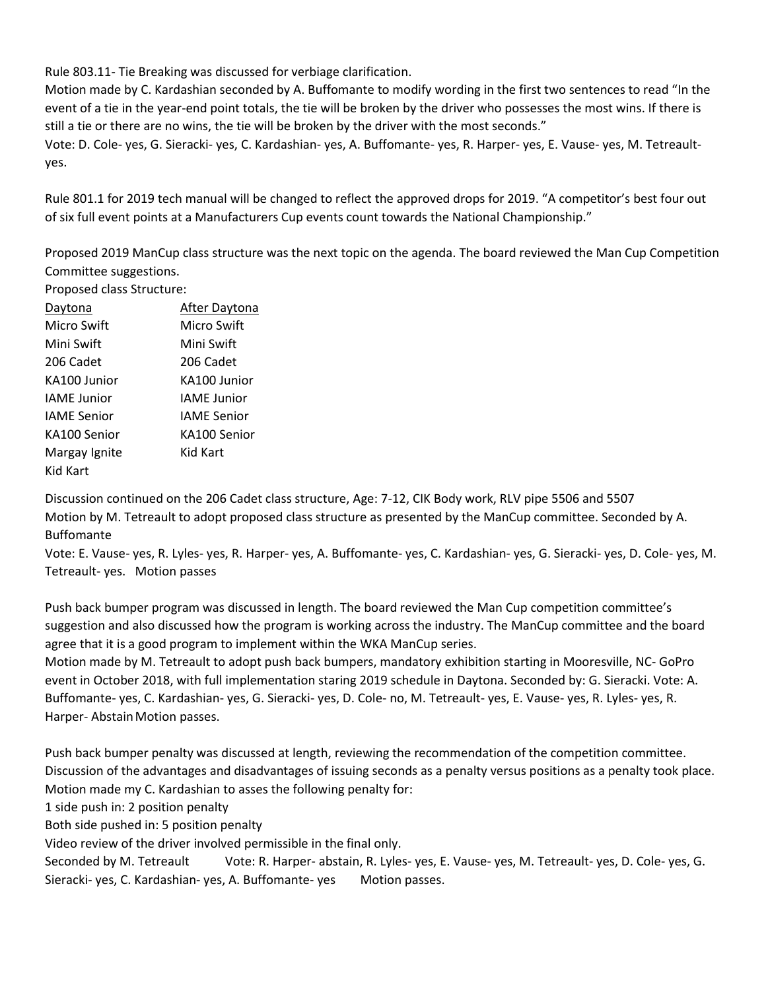Rule 803.11- Tie Breaking was discussed for verbiage clarification.

Motion made by C. Kardashian seconded by A. Buffomante to modify wording in the first two sentences to read "In the event of a tie in the year-end point totals, the tie will be broken by the driver who possesses the most wins. If there is still a tie or there are no wins, the tie will be broken by the driver with the most seconds."

Vote: D. Cole- yes, G. Sieracki- yes, C. Kardashian- yes, A. Buffomante- yes, R. Harper- yes, E. Vause- yes, M. Tetreaultyes.

Rule 801.1 for 2019 tech manual will be changed to reflect the approved drops for 2019. "A competitor's best four out of six full event points at a Manufacturers Cup events count towards the National Championship."

Proposed 2019 ManCup class structure was the next topic on the agenda. The board reviewed the Man Cup Competition Committee suggestions.

Proposed class Structure:

| Daytona            | After Daytona      |
|--------------------|--------------------|
| Micro Swift        | Micro Swift        |
| Mini Swift         | Mini Swift         |
| 206 Cadet          | 206 Cadet          |
| KA100 Junior       | KA100 Junior       |
| <b>IAME</b> Junior | <b>IAME</b> Junior |
| <b>IAME</b> Senior | <b>IAME</b> Senior |
| KA100 Senior       | KA100 Senior       |
| Margay Ignite      | Kid Kart           |
| Kid Kart           |                    |

Discussion continued on the 206 Cadet class structure, Age: 7-12, CIK Body work, RLV pipe 5506 and 5507 Motion by M. Tetreault to adopt proposed class structure as presented by the ManCup committee. Seconded by A. Buffomante

Vote: E. Vause- yes, R. Lyles- yes, R. Harper- yes, A. Buffomante- yes, C. Kardashian- yes, G. Sieracki- yes, D. Cole- yes, M. Tetreault- yes. Motion passes

Push back bumper program was discussed in length. The board reviewed the Man Cup competition committee's suggestion and also discussed how the program is working across the industry. The ManCup committee and the board agree that it is a good program to implement within the WKA ManCup series.

Motion made by M. Tetreault to adopt push back bumpers, mandatory exhibition starting in Mooresville, NC- GoPro event in October 2018, with full implementation staring 2019 schedule in Daytona. Seconded by: G. Sieracki. Vote: A. Buffomante- yes, C. Kardashian- yes, G. Sieracki- yes, D. Cole- no, M. Tetreault- yes, E. Vause- yes, R. Lyles- yes, R. Harper- Abstain Motion passes.

Push back bumper penalty was discussed at length, reviewing the recommendation of the competition committee. Discussion of the advantages and disadvantages of issuing seconds as a penalty versus positions as a penalty took place. Motion made my C. Kardashian to asses the following penalty for:

1 side push in: 2 position penalty

Both side pushed in: 5 position penalty

Video review of the driver involved permissible in the final only.

Seconded by M. Tetreault Vote: R. Harper- abstain, R. Lyles- yes, E. Vause- yes, M. Tetreault- yes, D. Cole- yes, G. Sieracki- yes, C. Kardashian- yes, A. Buffomante- yes Motion passes.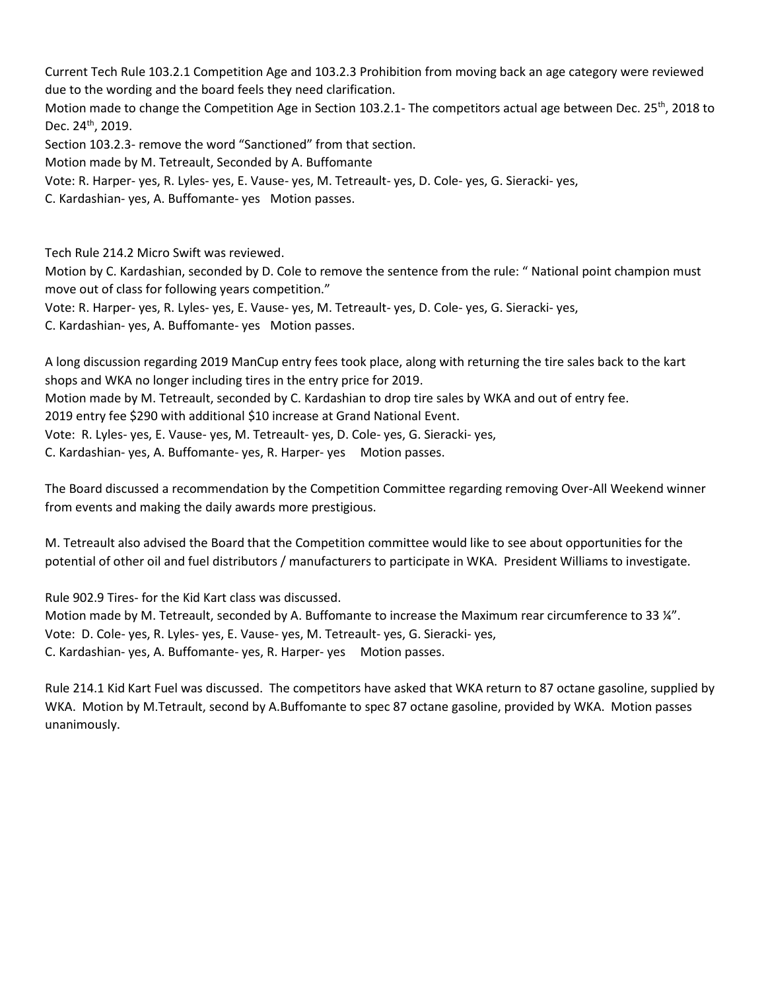Current Tech Rule 103.2.1 Competition Age and 103.2.3 Prohibition from moving back an age category were reviewed due to the wording and the board feels they need clarification.

Motion made to change the Competition Age in Section 103.2.1- The competitors actual age between Dec. 25<sup>th</sup>, 2018 to Dec. 24<sup>th</sup>, 2019.

Section 103.2.3- remove the word "Sanctioned" from that section.

Motion made by M. Tetreault, Seconded by A. Buffomante

Vote: R. Harper- yes, R. Lyles- yes, E. Vause- yes, M. Tetreault- yes, D. Cole- yes, G. Sieracki- yes,

C. Kardashian- yes, A. Buffomante- yes Motion passes.

Tech Rule 214.2 Micro Swift was reviewed.

Motion by C. Kardashian, seconded by D. Cole to remove the sentence from the rule: " National point champion must move out of class for following years competition."

Vote: R. Harper- yes, R. Lyles- yes, E. Vause- yes, M. Tetreault- yes, D. Cole- yes, G. Sieracki- yes,

C. Kardashian- yes, A. Buffomante- yes Motion passes.

A long discussion regarding 2019 ManCup entry fees took place, along with returning the tire sales back to the kart shops and WKA no longer including tires in the entry price for 2019.

Motion made by M. Tetreault, seconded by C. Kardashian to drop tire sales by WKA and out of entry fee.

2019 entry fee \$290 with additional \$10 increase at Grand National Event.

Vote: R. Lyles- yes, E. Vause- yes, M. Tetreault- yes, D. Cole- yes, G. Sieracki- yes,

C. Kardashian- yes, A. Buffomante- yes, R. Harper- yes Motion passes.

The Board discussed a recommendation by the Competition Committee regarding removing Over-All Weekend winner from events and making the daily awards more prestigious.

M. Tetreault also advised the Board that the Competition committee would like to see about opportunities for the potential of other oil and fuel distributors / manufacturers to participate in WKA. President Williams to investigate.

Rule 902.9 Tires- for the Kid Kart class was discussed.

Motion made by M. Tetreault, seconded by A. Buffomante to increase the Maximum rear circumference to 33 ¼". Vote: D. Cole- yes, R. Lyles- yes, E. Vause- yes, M. Tetreault- yes, G. Sieracki- yes, C. Kardashian- yes, A. Buffomante- yes, R. Harper- yes Motion passes.

Rule 214.1 Kid Kart Fuel was discussed. The competitors have asked that WKA return to 87 octane gasoline, supplied by WKA. Motion by M.Tetrault, second by A.Buffomante to spec 87 octane gasoline, provided by WKA. Motion passes unanimously.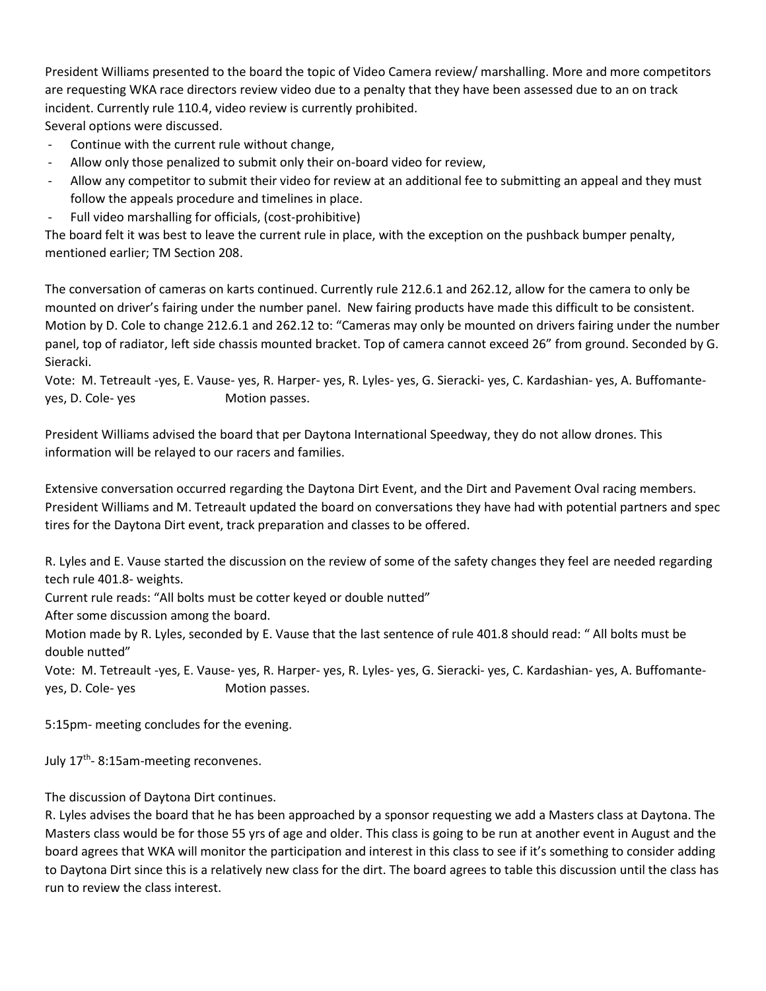President Williams presented to the board the topic of Video Camera review/ marshalling. More and more competitors are requesting WKA race directors review video due to a penalty that they have been assessed due to an on track incident. Currently rule 110.4, video review is currently prohibited.

Several options were discussed.

- Continue with the current rule without change,
- Allow only those penalized to submit only their on-board video for review,
- Allow any competitor to submit their video for review at an additional fee to submitting an appeal and they must follow the appeals procedure and timelines in place.
- Full video marshalling for officials, (cost-prohibitive)

The board felt it was best to leave the current rule in place, with the exception on the pushback bumper penalty, mentioned earlier; TM Section 208.

The conversation of cameras on karts continued. Currently rule 212.6.1 and 262.12, allow for the camera to only be mounted on driver's fairing under the number panel. New fairing products have made this difficult to be consistent. Motion by D. Cole to change 212.6.1 and 262.12 to: "Cameras may only be mounted on drivers fairing under the number panel, top of radiator, left side chassis mounted bracket. Top of camera cannot exceed 26" from ground. Seconded by G. Sieracki.

Vote: M. Tetreault -yes, E. Vause- yes, R. Harper- yes, R. Lyles- yes, G. Sieracki- yes, C. Kardashian- yes, A. Buffomanteyes, D. Cole- yes Motion passes.

President Williams advised the board that per Daytona International Speedway, they do not allow drones. This information will be relayed to our racers and families.

Extensive conversation occurred regarding the Daytona Dirt Event, and the Dirt and Pavement Oval racing members. President Williams and M. Tetreault updated the board on conversations they have had with potential partners and spec tires for the Daytona Dirt event, track preparation and classes to be offered.

R. Lyles and E. Vause started the discussion on the review of some of the safety changes they feel are needed regarding tech rule 401.8- weights.

Current rule reads: "All bolts must be cotter keyed or double nutted"

After some discussion among the board.

Motion made by R. Lyles, seconded by E. Vause that the last sentence of rule 401.8 should read: " All bolts must be double nutted"

Vote: M. Tetreault -yes, E. Vause- yes, R. Harper- yes, R. Lyles- yes, G. Sieracki- yes, C. Kardashian- yes, A. Buffomanteyes, D. Cole- yes Motion passes.

5:15pm- meeting concludes for the evening.

July 17<sup>th</sup>-8:15am-meeting reconvenes.

The discussion of Daytona Dirt continues.

R. Lyles advises the board that he has been approached by a sponsor requesting we add a Masters class at Daytona. The Masters class would be for those 55 yrs of age and older. This class is going to be run at another event in August and the board agrees that WKA will monitor the participation and interest in this class to see if it's something to consider adding to Daytona Dirt since this is a relatively new class for the dirt. The board agrees to table this discussion until the class has run to review the class interest.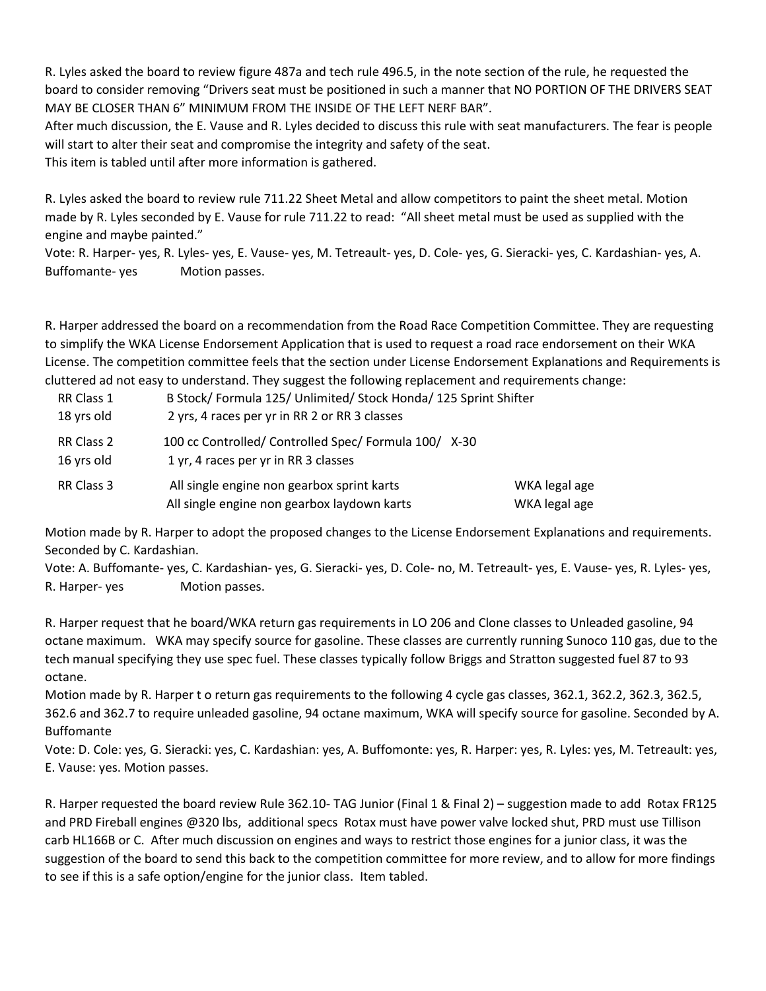R. Lyles asked the board to review figure 487a and tech rule 496.5, in the note section of the rule, he requested the board to consider removing "Drivers seat must be positioned in such a manner that NO PORTION OF THE DRIVERS SEAT MAY BE CLOSER THAN 6" MINIMUM FROM THE INSIDE OF THE LEFT NERF BAR".

After much discussion, the E. Vause and R. Lyles decided to discuss this rule with seat manufacturers. The fear is people will start to alter their seat and compromise the integrity and safety of the seat.

This item is tabled until after more information is gathered.

R. Lyles asked the board to review rule 711.22 Sheet Metal and allow competitors to paint the sheet metal. Motion made by R. Lyles seconded by E. Vause for rule 711.22 to read: "All sheet metal must be used as supplied with the engine and maybe painted."

Vote: R. Harper- yes, R. Lyles- yes, E. Vause- yes, M. Tetreault- yes, D. Cole- yes, G. Sieracki- yes, C. Kardashian- yes, A. Buffomante- yes Motion passes.

R. Harper addressed the board on a recommendation from the Road Race Competition Committee. They are requesting to simplify the WKA License Endorsement Application that is used to request a road race endorsement on their WKA License. The competition committee feels that the section under License Endorsement Explanations and Requirements is cluttered ad not easy to understand. They suggest the following replacement and requirements change:

| RR Class 1<br>18 yrs old | B Stock/ Formula 125/ Unlimited/ Stock Honda/ 125 Sprint Shifter<br>2 yrs, 4 races per yr in RR 2 or RR 3 classes |                                |
|--------------------------|-------------------------------------------------------------------------------------------------------------------|--------------------------------|
| RR Class 2<br>16 yrs old | 100 cc Controlled/ Controlled Spec/ Formula 100/ X-30<br>1 yr, 4 races per yr in RR 3 classes                     |                                |
| RR Class 3               | All single engine non gearbox sprint karts<br>All single engine non gearbox laydown karts                         | WKA legal age<br>WKA legal age |

Motion made by R. Harper to adopt the proposed changes to the License Endorsement Explanations and requirements. Seconded by C. Kardashian.

Vote: A. Buffomante- yes, C. Kardashian- yes, G. Sieracki- yes, D. Cole- no, M. Tetreault- yes, E. Vause- yes, R. Lyles- yes, R. Harper- yes Motion passes.

R. Harper request that he board/WKA return gas requirements in LO 206 and Clone classes to Unleaded gasoline, 94 octane maximum. WKA may specify source for gasoline. These classes are currently running Sunoco 110 gas, due to the tech manual specifying they use spec fuel. These classes typically follow Briggs and Stratton suggested fuel 87 to 93 octane.

Motion made by R. Harper t o return gas requirements to the following 4 cycle gas classes, 362.1, 362.2, 362.3, 362.5, 362.6 and 362.7 to require unleaded gasoline, 94 octane maximum, WKA will specify source for gasoline. Seconded by A. Buffomante

Vote: D. Cole: yes, G. Sieracki: yes, C. Kardashian: yes, A. Buffomonte: yes, R. Harper: yes, R. Lyles: yes, M. Tetreault: yes, E. Vause: yes. Motion passes.

R. Harper requested the board review Rule 362.10- TAG Junior (Final 1 & Final 2) – suggestion made to add Rotax FR125 and PRD Fireball engines @320 lbs, additional specs Rotax must have power valve locked shut, PRD must use Tillison carb HL166B or C. After much discussion on engines and ways to restrict those engines for a junior class, it was the suggestion of the board to send this back to the competition committee for more review, and to allow for more findings to see if this is a safe option/engine for the junior class. Item tabled.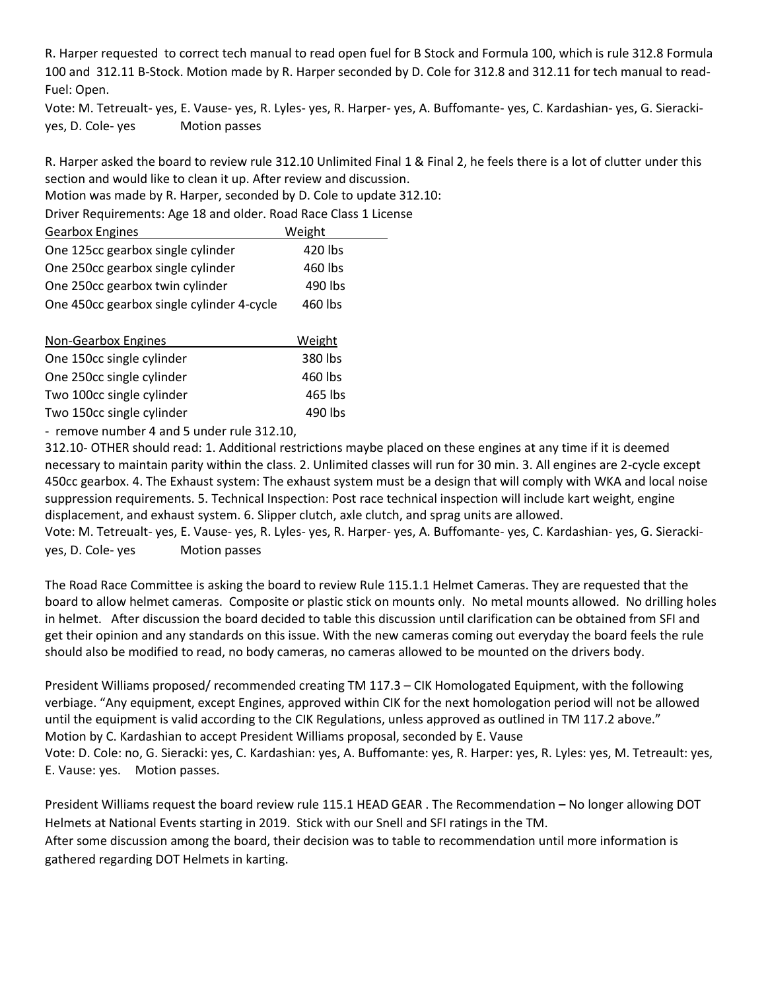R. Harper requested to correct tech manual to read open fuel for B Stock and Formula 100, which is rule 312.8 Formula 100 and 312.11 B-Stock. Motion made by R. Harper seconded by D. Cole for 312.8 and 312.11 for tech manual to read-Fuel: Open.

Vote: M. Tetreualt- yes, E. Vause- yes, R. Lyles- yes, R. Harper- yes, A. Buffomante- yes, C. Kardashian- yes, G. Sierackiyes, D. Cole- yes Motion passes

R. Harper asked the board to review rule 312.10 Unlimited Final 1 & Final 2, he feels there is a lot of clutter under this section and would like to clean it up. After review and discussion.

Motion was made by R. Harper, seconded by D. Cole to update 312.10:

Driver Requirements: Age 18 and older. Road Race Class 1 License

| <b>Gearbox Engines</b>                    | Weight  |
|-------------------------------------------|---------|
| One 125cc gearbox single cylinder         | 420 lbs |
| One 250cc gearbox single cylinder         | 460 lbs |
| One 250cc gearbox twin cylinder           | 490 lbs |
| One 450cc gearbox single cylinder 4-cycle | 460 lbs |

| Non-Gearbox Engines       | Weight  |
|---------------------------|---------|
| One 150cc single cylinder | 380 lbs |
| One 250cc single cylinder | 460 lbs |
| Two 100cc single cylinder | 465 lbs |
| Two 150cc single cylinder | 490 lbs |

- remove number 4 and 5 under rule 312.10,

312.10- OTHER should read: 1. Additional restrictions maybe placed on these engines at any time if it is deemed necessary to maintain parity within the class. 2. Unlimited classes will run for 30 min. 3. All engines are 2-cycle except 450cc gearbox. 4. The Exhaust system: The exhaust system must be a design that will comply with WKA and local noise suppression requirements. 5. Technical Inspection: Post race technical inspection will include kart weight, engine displacement, and exhaust system. 6. Slipper clutch, axle clutch, and sprag units are allowed.

Vote: M. Tetreualt- yes, E. Vause- yes, R. Lyles- yes, R. Harper- yes, A. Buffomante- yes, C. Kardashian- yes, G. Sierackiyes, D. Cole- yes Motion passes

The Road Race Committee is asking the board to review Rule 115.1.1 Helmet Cameras. They are requested that the board to allow helmet cameras. Composite or plastic stick on mounts only. No metal mounts allowed. No drilling holes in helmet. After discussion the board decided to table this discussion until clarification can be obtained from SFI and get their opinion and any standards on this issue. With the new cameras coming out everyday the board feels the rule should also be modified to read, no body cameras, no cameras allowed to be mounted on the drivers body.

President Williams proposed/ recommended creating TM 117.3 – CIK Homologated Equipment, with the following verbiage. "Any equipment, except Engines, approved within CIK for the next homologation period will not be allowed until the equipment is valid according to the CIK Regulations, unless approved as outlined in TM 117.2 above." Motion by C. Kardashian to accept President Williams proposal, seconded by E. Vause Vote: D. Cole: no, G. Sieracki: yes, C. Kardashian: yes, A. Buffomante: yes, R. Harper: yes, R. Lyles: yes, M. Tetreault: yes, E. Vause: yes. Motion passes.

President Williams request the board review rule 115.1 HEAD GEAR . The Recommendation **–** No longer allowing DOT Helmets at National Events starting in 2019. Stick with our Snell and SFI ratings in the TM. After some discussion among the board, their decision was to table to recommendation until more information is gathered regarding DOT Helmets in karting.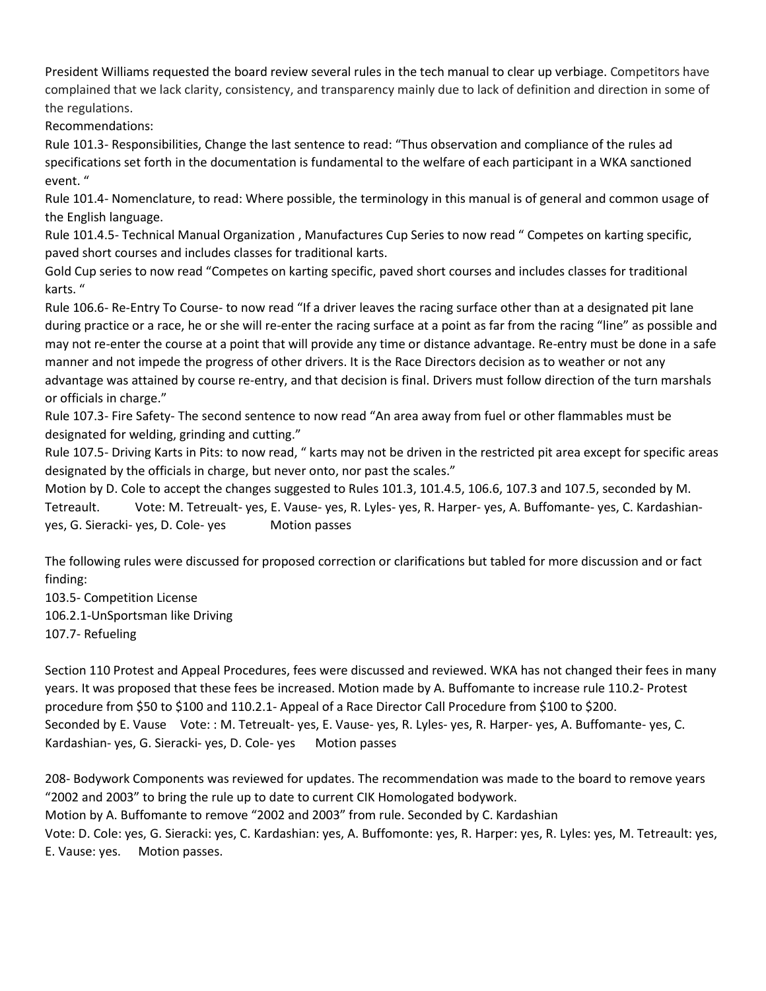President Williams requested the board review several rules in the tech manual to clear up verbiage. Competitors have complained that we lack clarity, consistency, and transparency mainly due to lack of definition and direction in some of the regulations.

Recommendations:

Rule 101.3- Responsibilities, Change the last sentence to read: "Thus observation and compliance of the rules ad specifications set forth in the documentation is fundamental to the welfare of each participant in a WKA sanctioned event. "

Rule 101.4- Nomenclature, to read: Where possible, the terminology in this manual is of general and common usage of the English language.

Rule 101.4.5- Technical Manual Organization , Manufactures Cup Series to now read " Competes on karting specific, paved short courses and includes classes for traditional karts.

Gold Cup series to now read "Competes on karting specific, paved short courses and includes classes for traditional karts. "

Rule 106.6- Re-Entry To Course- to now read "If a driver leaves the racing surface other than at a designated pit lane during practice or a race, he or she will re-enter the racing surface at a point as far from the racing "line" as possible and may not re-enter the course at a point that will provide any time or distance advantage. Re-entry must be done in a safe manner and not impede the progress of other drivers. It is the Race Directors decision as to weather or not any advantage was attained by course re-entry, and that decision is final. Drivers must follow direction of the turn marshals or officials in charge."

Rule 107.3- Fire Safety- The second sentence to now read "An area away from fuel or other flammables must be designated for welding, grinding and cutting."

Rule 107.5- Driving Karts in Pits: to now read, " karts may not be driven in the restricted pit area except for specific areas designated by the officials in charge, but never onto, nor past the scales."

Motion by D. Cole to accept the changes suggested to Rules 101.3, 101.4.5, 106.6, 107.3 and 107.5, seconded by M. Tetreault. Vote: M. Tetreualt- yes, E. Vause- yes, R. Lyles- yes, R. Harper- yes, A. Buffomante- yes, C. Kardashianyes, G. Sieracki- yes, D. Cole- yes Motion passes

The following rules were discussed for proposed correction or clarifications but tabled for more discussion and or fact finding:

103.5- Competition License 106.2.1-UnSportsman like Driving 107.7- Refueling

Section 110 Protest and Appeal Procedures, fees were discussed and reviewed. WKA has not changed their fees in many years. It was proposed that these fees be increased. Motion made by A. Buffomante to increase rule 110.2- Protest procedure from \$50 to \$100 and 110.2.1- Appeal of a Race Director Call Procedure from \$100 to \$200. Seconded by E. Vause Vote: : M. Tetreualt- yes, E. Vause- yes, R. Lyles- yes, R. Harper- yes, A. Buffomante- yes, C. Kardashian- yes, G. Sieracki- yes, D. Cole- yes Motion passes

208- Bodywork Components was reviewed for updates. The recommendation was made to the board to remove years "2002 and 2003" to bring the rule up to date to current CIK Homologated bodywork. Motion by A. Buffomante to remove "2002 and 2003" from rule. Seconded by C. Kardashian Vote: D. Cole: yes, G. Sieracki: yes, C. Kardashian: yes, A. Buffomonte: yes, R. Harper: yes, R. Lyles: yes, M. Tetreault: yes, E. Vause: yes. Motion passes.